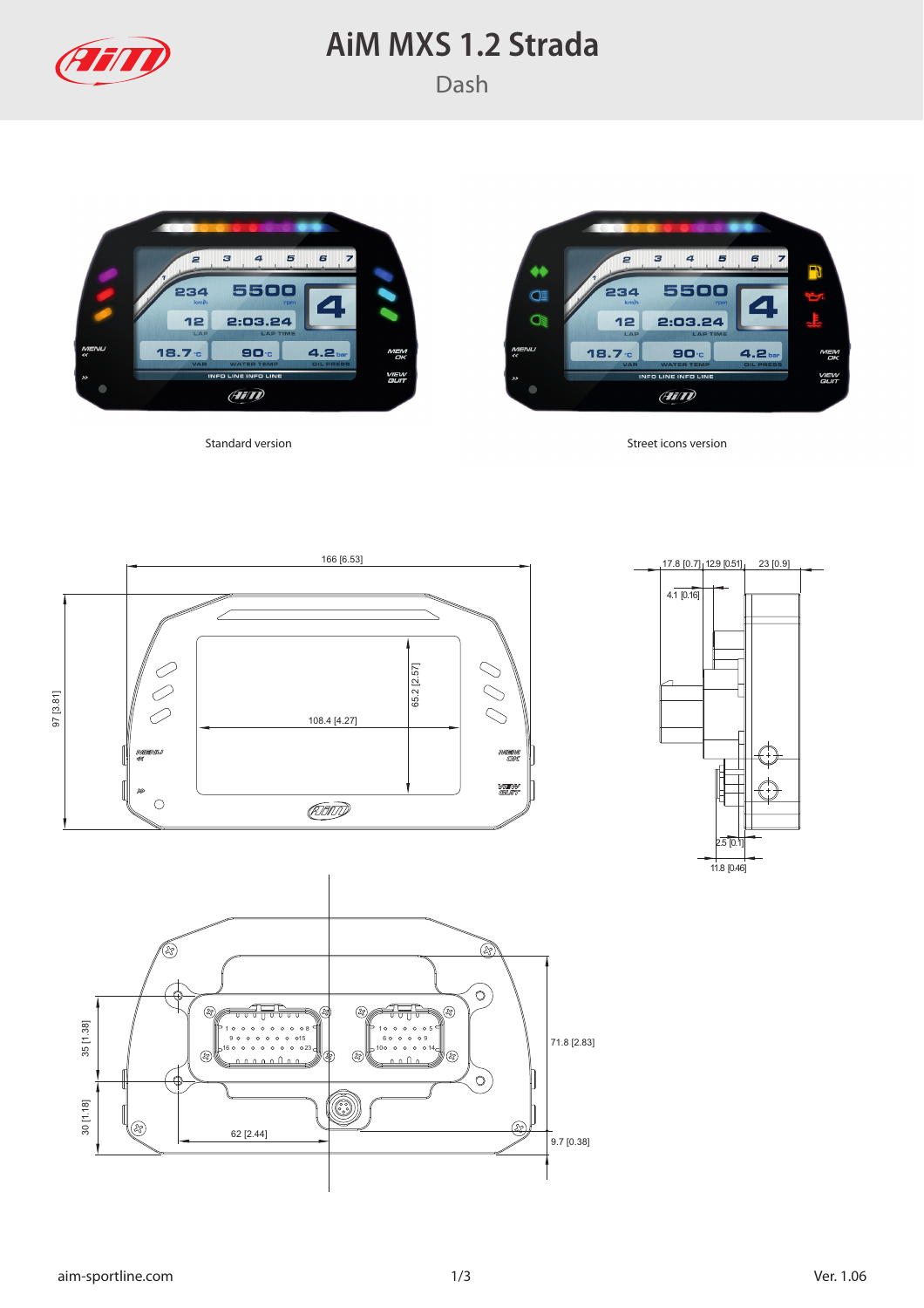

## **AiM MXS 1.2 Strada**





Standard version Standard version Street icons version





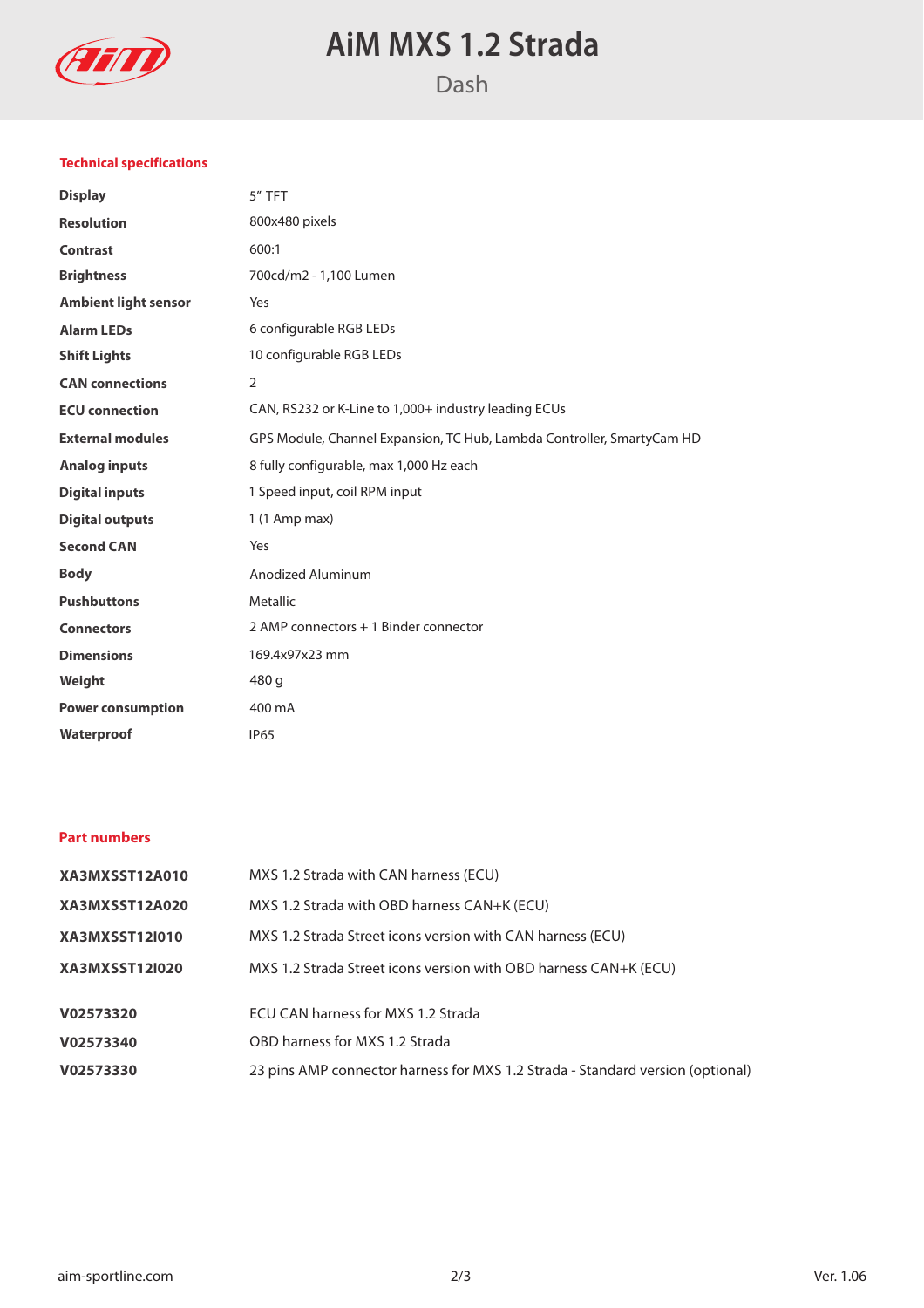

# **AiM MXS 1.2 Strada**

### **Technical specifications**

| <b>Display</b>              | 5" TFT                                                                 |
|-----------------------------|------------------------------------------------------------------------|
| <b>Resolution</b>           | 800x480 pixels                                                         |
| <b>Contrast</b>             | 600:1                                                                  |
| <b>Brightness</b>           | 700cd/m2 - 1,100 Lumen                                                 |
| <b>Ambient light sensor</b> | Yes                                                                    |
| <b>Alarm LEDs</b>           | 6 configurable RGB LEDs                                                |
| <b>Shift Lights</b>         | 10 configurable RGB LEDs                                               |
| <b>CAN</b> connections      | 2                                                                      |
| <b>ECU</b> connection       | CAN, RS232 or K-Line to 1,000+ industry leading ECUs                   |
| <b>External modules</b>     | GPS Module, Channel Expansion, TC Hub, Lambda Controller, SmartyCam HD |
| <b>Analog inputs</b>        | 8 fully configurable, max 1,000 Hz each                                |
| <b>Digital inputs</b>       | 1 Speed input, coil RPM input                                          |
| <b>Digital outputs</b>      | $1(1$ Amp max)                                                         |
| <b>Second CAN</b>           | Yes                                                                    |
| <b>Body</b>                 | Anodized Aluminum                                                      |
| <b>Pushbuttons</b>          | Metallic                                                               |
| <b>Connectors</b>           | 2 AMP connectors + 1 Binder connector                                  |
| <b>Dimensions</b>           | 169.4x97x23 mm                                                         |
| Weight                      | 480 g                                                                  |
| <b>Power consumption</b>    | 400 mA                                                                 |
| Waterproof                  | <b>IP65</b>                                                            |
|                             |                                                                        |

### **Part numbers**

| XA3MXSST12A010        | MXS 1.2 Strada with CAN harness (ECU)                                          |
|-----------------------|--------------------------------------------------------------------------------|
| XA3MXSST12A020        | MXS 1.2 Strada with OBD harness CAN+K (ECU)                                    |
| <b>XA3MXSST12I010</b> | MXS 1.2 Strada Street icons version with CAN harness (ECU)                     |
| <b>XA3MXSST12I020</b> | MXS 1.2 Strada Street icons version with OBD harness CAN+K (ECU)               |
| V02573320             | ECU CAN harness for MXS 1.2 Strada                                             |
| V02573340             | OBD harness for MXS 1.2 Strada                                                 |
| V02573330             | 23 pins AMP connector harness for MXS 1.2 Strada - Standard version (optional) |